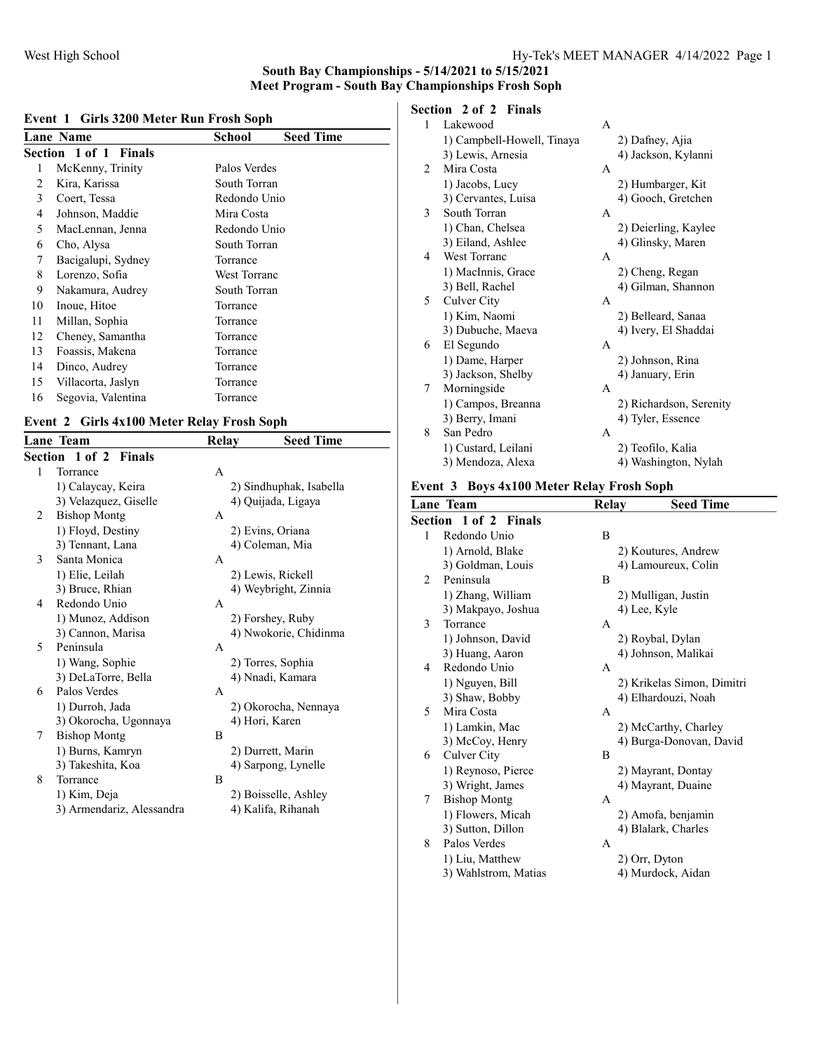#### Event 1 Girls 3200 Meter Run Frosh Soph

|    | <b>Lane Name</b>      | <b>Seed Time</b><br>School |
|----|-----------------------|----------------------------|
|    | Section 1 of 1 Finals |                            |
| 1  | McKenny, Trinity      | Palos Verdes               |
| 2  | Kira, Karissa         | South Torran               |
| 3  | Coert, Tessa          | Redondo Unio               |
| 4  | Johnson, Maddie       | Mira Costa                 |
| 5  | MacLennan, Jenna      | Redondo Unio               |
| 6  | Cho, Alysa            | South Torran               |
| 7  | Bacigalupi, Sydney    | Torrance                   |
| 8  | Lorenzo, Sofia        | West Torranc               |
| 9  | Nakamura, Audrey      | South Torran               |
| 10 | Inoue, Hitoe          | Torrance                   |
| 11 | Millan, Sophia        | Torrance                   |
| 12 | Cheney, Samantha      | Torrance                   |
| 13 | Foassis, Makena       | Torrance                   |
| 14 | Dinco, Audrey         | Torrance                   |
| 15 | Villacorta, Jaslyn    | Torrance                   |
| 16 | Segovia, Valentina    | Torrance                   |
|    |                       |                            |

#### Event 2 Girls 4x100 Meter Relay Frosh Soph

|   | <b>Lane Team</b>          | Relay | <b>Seed Time</b>        |
|---|---------------------------|-------|-------------------------|
|   | Section 1 of 2 Finals     |       |                         |
| 1 | Torrance                  | A     |                         |
|   | 1) Calaycay, Keira        |       | 2) Sindhuphak, Isabella |
|   | 3) Velazquez, Giselle     |       | 4) Quijada, Ligaya      |
| 2 | <b>Bishop Montg</b>       | А     |                         |
|   | 1) Floyd, Destiny         |       | 2) Evins, Oriana        |
|   | 3) Tennant, Lana          |       | 4) Coleman, Mia         |
| 3 | Santa Monica              | A     |                         |
|   | 1) Elie, Leilah           |       | 2) Lewis, Rickell       |
|   | 3) Bruce, Rhian           |       | 4) Weybright, Zinnia    |
| 4 | Redondo Unio              | A     |                         |
|   | 1) Munoz, Addison         |       | 2) Forshey, Ruby        |
|   | 3) Cannon, Marisa         |       | 4) Nwokorie, Chidinma   |
| 5 | Peninsula                 | A     |                         |
|   | 1) Wang, Sophie           |       | 2) Torres, Sophia       |
|   | 3) DeLaTorre, Bella       |       | 4) Nnadi, Kamara        |
| 6 | Palos Verdes              | A     |                         |
|   | 1) Durroh, Jada           |       | 2) Okorocha, Nennaya    |
|   | 3) Okorocha, Ugonnaya     |       | 4) Hori, Karen          |
| 7 | <b>Bishop Montg</b>       | B     |                         |
|   | 1) Burns, Kamryn          |       | 2) Durrett, Marin       |
|   | 3) Takeshita, Koa         |       | 4) Sarpong, Lynelle     |
| 8 | Torrance                  | B     |                         |
|   | 1) Kim, Deja              |       | 2) Boisselle, Ashley    |
|   | 3) Armendariz, Alessandra |       | 4) Kalifa, Rihanah      |
|   |                           |       |                         |

# Section 2 of 2 Finals

| 1 | Lakewood                   | A            |                         |
|---|----------------------------|--------------|-------------------------|
|   | 1) Campbell-Howell, Tinaya |              | 2) Dafney, Ajia         |
|   | 3) Lewis, Arnesia          |              | 4) Jackson, Kylanni     |
| 2 | Mira Costa                 | A            |                         |
|   | 1) Jacobs, Lucy            |              | 2) Humbarger, Kit       |
|   | 3) Cervantes, Luisa        |              | 4) Gooch, Gretchen      |
| 3 | South Torran               | A            |                         |
|   | 1) Chan, Chelsea           |              | 2) Deierling, Kaylee    |
|   | 3) Eiland, Ashlee          |              | 4) Glinsky, Maren       |
| 4 | West Torranc               | A            |                         |
|   | 1) MacInnis, Grace         |              | 2) Cheng, Regan         |
|   | 3) Bell, Rachel            |              | 4) Gilman, Shannon      |
| 5 | Culver City                | $\mathsf{A}$ |                         |
|   | 1) Kim, Naomi              |              | 2) Belleard, Sanaa      |
|   | 3) Dubuche, Maeva          |              | 4) Ivery, El Shaddai    |
| 6 | El Segundo                 | A            |                         |
|   | 1) Dame, Harper            |              | 2) Johnson, Rina        |
|   | 3) Jackson, Shelby         |              | 4) January, Erin        |
| 7 | Morningside                | A            |                         |
|   | 1) Campos, Breanna         |              | 2) Richardson, Serenity |
|   | 3) Berry, Imani            |              | 4) Tyler, Essence       |
| 8 | San Pedro                  | A            |                         |
|   | 1) Custard, Leilani        |              | 2) Teofilo, Kalia       |
|   | 3) Mendoza, Alexa          |              | 4) Washington, Nylah    |

## Event 3 Boys 4x100 Meter Relay Frosh Soph

|   | Lane Team                    | Relay        | <b>Seed Time</b>           |
|---|------------------------------|--------------|----------------------------|
|   | <b>Section 1 of 2 Finals</b> |              |                            |
| 1 | Redondo Unio                 | B            |                            |
|   | 1) Arnold, Blake             |              | 2) Koutures, Andrew        |
|   | 3) Goldman, Louis            |              | 4) Lamoureux, Colin        |
| 2 | Peninsula                    | B            |                            |
|   | 1) Zhang, William            |              | 2) Mulligan, Justin        |
|   | 3) Makpayo, Joshua           |              | 4) Lee, Kyle               |
| 3 | Torrance                     | $\mathsf{A}$ |                            |
|   | 1) Johnson, David            |              | 2) Roybal, Dylan           |
|   | 3) Huang, Aaron              |              | 4) Johnson, Malikai        |
| 4 | Redondo Unio                 | A            |                            |
|   | 1) Nguyen, Bill              |              | 2) Krikelas Simon, Dimitri |
|   | 3) Shaw, Bobby               |              | 4) Elhardouzi, Noah        |
| 5 | Mira Costa                   | A            |                            |
|   | 1) Lamkin, Mac               |              | 2) McCarthy, Charley       |
|   | 3) McCoy, Henry              |              | 4) Burga-Donovan, David    |
| 6 | Culver City                  | B            |                            |
|   | 1) Reynoso, Pierce           |              | 2) Mayrant, Dontay         |
|   | 3) Wright, James             |              | 4) Mayrant, Duaine         |
| 7 | <b>Bishop Montg</b>          | A            |                            |
|   | 1) Flowers, Micah            |              | 2) Amofa, benjamin         |
|   | 3) Sutton, Dillon            |              | 4) Blalark, Charles        |
| 8 | Palos Verdes                 | A            |                            |
|   | 1) Liu, Matthew              |              | 2) Orr, Dyton              |
|   | 3) Wahlstrom, Matias         |              | 4) Murdock, Aidan          |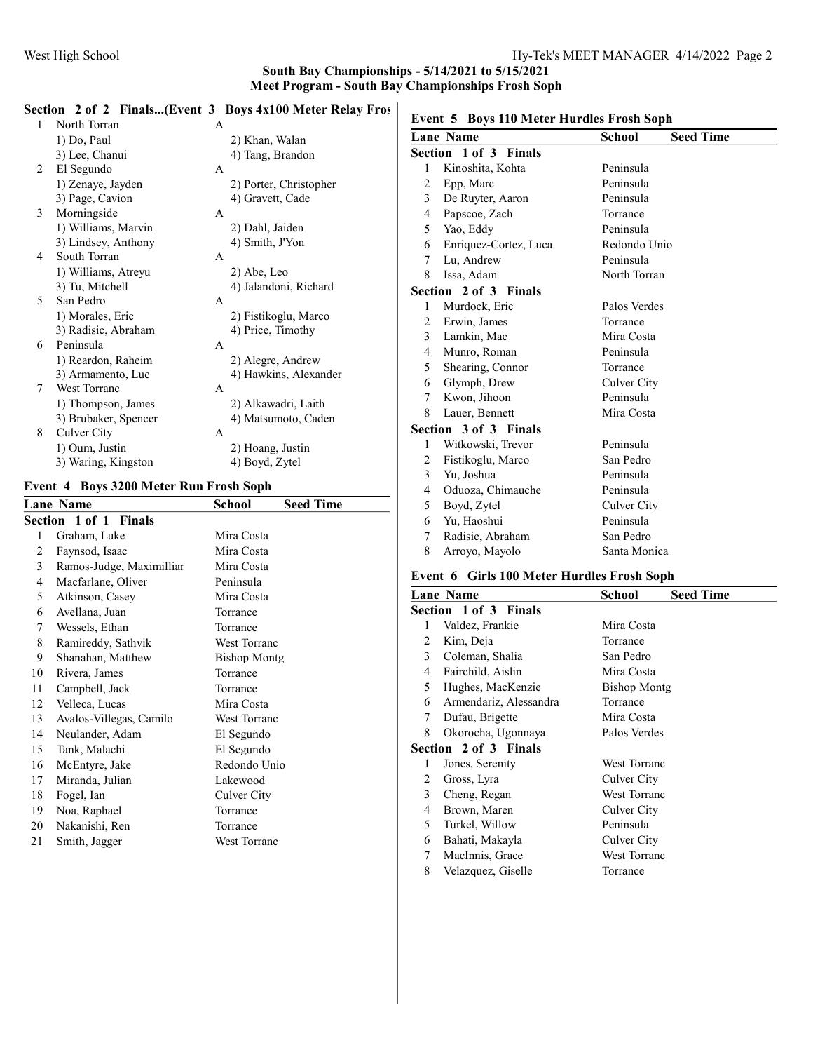## Section 2 of 2 Finals...(Event 3 Boys 4x100 Meter Relay Fros

| 1 | North Torran         | A                      |  |
|---|----------------------|------------------------|--|
|   | 1) Do, Paul          | 2) Khan, Walan         |  |
|   | 3) Lee, Chanui       | 4) Tang, Brandon       |  |
| 2 | El Segundo           | $\mathsf{A}$           |  |
|   | 1) Zenaye, Jayden    | 2) Porter, Christopher |  |
|   | 3) Page, Cavion      | 4) Gravett, Cade       |  |
| 3 | Morningside          | $\mathsf{A}$           |  |
|   | 1) Williams, Marvin  | 2) Dahl, Jaiden        |  |
|   | 3) Lindsey, Anthony  | 4) Smith, J'Yon        |  |
| 4 | South Torran         | A                      |  |
|   | 1) Williams, Atreyu  | 2) Abe, Leo            |  |
|   | 3) Tu, Mitchell      | 4) Jalandoni, Richard  |  |
| 5 | San Pedro            | $\mathsf{A}$           |  |
|   | 1) Morales, Eric     | 2) Fistikoglu, Marco   |  |
|   | 3) Radisic, Abraham  | 4) Price, Timothy      |  |
| 6 | Peninsula            | A                      |  |
|   | 1) Reardon, Raheim   | 2) Alegre, Andrew      |  |
|   | 3) Armamento, Luc    | 4) Hawkins, Alexander  |  |
| 7 | <b>West Torranc</b>  | A                      |  |
|   | 1) Thompson, James   | 2) Alkawadri, Laith    |  |
|   | 3) Brubaker, Spencer | 4) Matsumoto, Caden    |  |
| 8 | Culver City          | A                      |  |
|   | 1) Oum, Justin       | 2) Hoang, Justin       |  |
|   | 3) Waring, Kingston  | 4) Boyd, Zytel         |  |
|   |                      |                        |  |

## Event 4 Boys 3200 Meter Run Frosh Soph

|    | <b>Lane Name</b>         | School              | <b>Seed Time</b> |
|----|--------------------------|---------------------|------------------|
|    | Section 1 of 1 Finals    |                     |                  |
| 1  | Graham, Luke             | Mira Costa          |                  |
| 2  | Faynsod, Isaac           | Mira Costa          |                  |
| 3  | Ramos-Judge, Maximilliar | Mira Costa          |                  |
| 4  | Macfarlane, Oliver       | Peninsula           |                  |
| 5  | Atkinson, Casey          | Mira Costa          |                  |
| 6  | Avellana, Juan           | Torrance            |                  |
| 7  | Wessels, Ethan           | Torrance            |                  |
| 8  | Ramireddy, Sathvik       | <b>West Torranc</b> |                  |
| 9  | Shanahan, Matthew        | <b>Bishop Montg</b> |                  |
| 10 | Rivera, James            | Torrance            |                  |
| 11 | Campbell, Jack           | Torrance            |                  |
| 12 | Velleca, Lucas           | Mira Costa          |                  |
| 13 | Avalos-Villegas, Camilo  | <b>West Torranc</b> |                  |
| 14 | Neulander, Adam          | El Segundo          |                  |
| 15 | Tank, Malachi            | El Segundo          |                  |
| 16 | McEntyre, Jake           | Redondo Unio        |                  |
| 17 | Miranda, Julian          | Lakewood            |                  |
| 18 | Fogel, Ian               | Culver City         |                  |
| 19 | Noa, Raphael             | Torrance            |                  |
| 20 | Nakanishi, Ren           | Torrance            |                  |
| 21 | Smith, Jagger            | <b>West Torranc</b> |                  |

|  | Event 5 Boys 110 Meter Hurdles Frosh Soph |  |  |  |  |
|--|-------------------------------------------|--|--|--|--|
|--|-------------------------------------------|--|--|--|--|

|                | <b>Lane Name</b>             | School<br><b>Seed Time</b> |  |
|----------------|------------------------------|----------------------------|--|
|                | <b>Section 1 of 3 Finals</b> |                            |  |
| 1              | Kinoshita, Kohta             | Peninsula                  |  |
| 2              | Epp, Marc                    | Peninsula                  |  |
| $\mathbf{3}$   | De Ruyter, Aaron             | Peninsula                  |  |
| 4              | Papscoe, Zach                | Torrance                   |  |
| 5              | Yao, Eddy                    | Peninsula                  |  |
| 6              | Enriquez-Cortez, Luca        | Redondo Unio               |  |
| 7              | Lu, Andrew                   | Peninsula                  |  |
| 8              | Issa, Adam                   | North Torran               |  |
|                | <b>Section 2 of 3 Finals</b> |                            |  |
| 1              | Murdock, Eric                | Palos Verdes               |  |
| 2              | Erwin, James                 | Torrance                   |  |
| $\mathbf{3}$   | Lamkin, Mac                  | Mira Costa                 |  |
| $\overline{4}$ | Munro, Roman                 | Peninsula                  |  |
| 5              | Shearing, Connor             | Torrance                   |  |
| 6              | Glymph, Drew                 | Culver City                |  |
| 7              | Kwon, Jihoon                 | Peninsula                  |  |
| 8              | Lauer, Bennett               | Mira Costa                 |  |
|                | <b>Section 3 of 3 Finals</b> |                            |  |
| 1              | Witkowski, Trevor            | Peninsula                  |  |
| $\overline{c}$ | Fistikoglu, Marco            | San Pedro                  |  |
| 3              | Yu, Joshua                   | Peninsula                  |  |
| 4              | Oduoza, Chimauche            | Peninsula                  |  |
| 5              | Boyd, Zytel                  | Culver City                |  |
| 6              | Yu, Haoshui                  | Peninsula                  |  |
| 7              | Radisic, Abraham             | San Pedro                  |  |
| 8              | Arroyo, Mayolo               | Santa Monica               |  |

## Event 6 Girls 100 Meter Hurdles Frosh Soph

|   | <b>Lane Name</b>       | <b>Seed Time</b><br>School |
|---|------------------------|----------------------------|
|   | Section 1 of 3 Finals  |                            |
| 1 | Valdez, Frankie        | Mira Costa                 |
| 2 | Kim, Deja              | Torrance                   |
| 3 | Coleman, Shalia        | San Pedro                  |
| 4 | Fairchild, Aislin      | Mira Costa                 |
| 5 | Hughes, MacKenzie      | <b>Bishop Montg</b>        |
| 6 | Armendariz, Alessandra | Torrance                   |
| 7 | Dufau, Brigette        | Mira Costa                 |
| 8 | Okorocha, Ugonnaya     | Palos Verdes               |
|   | Section 2 of 3 Finals  |                            |
| 1 | Jones, Serenity        | <b>West Torranc</b>        |
| 2 | Gross, Lyra            | Culver City                |
| 3 | Cheng, Regan           | <b>West Torranc</b>        |
| 4 | Brown, Maren           | Culver City                |
| 5 | Turkel, Willow         | Peninsula                  |
| 6 | Bahati, Makayla        | Culver City                |
| 7 | MacInnis, Grace        | <b>West Torranc</b>        |
| 8 | Velazquez, Giselle     | Torrance                   |
|   |                        |                            |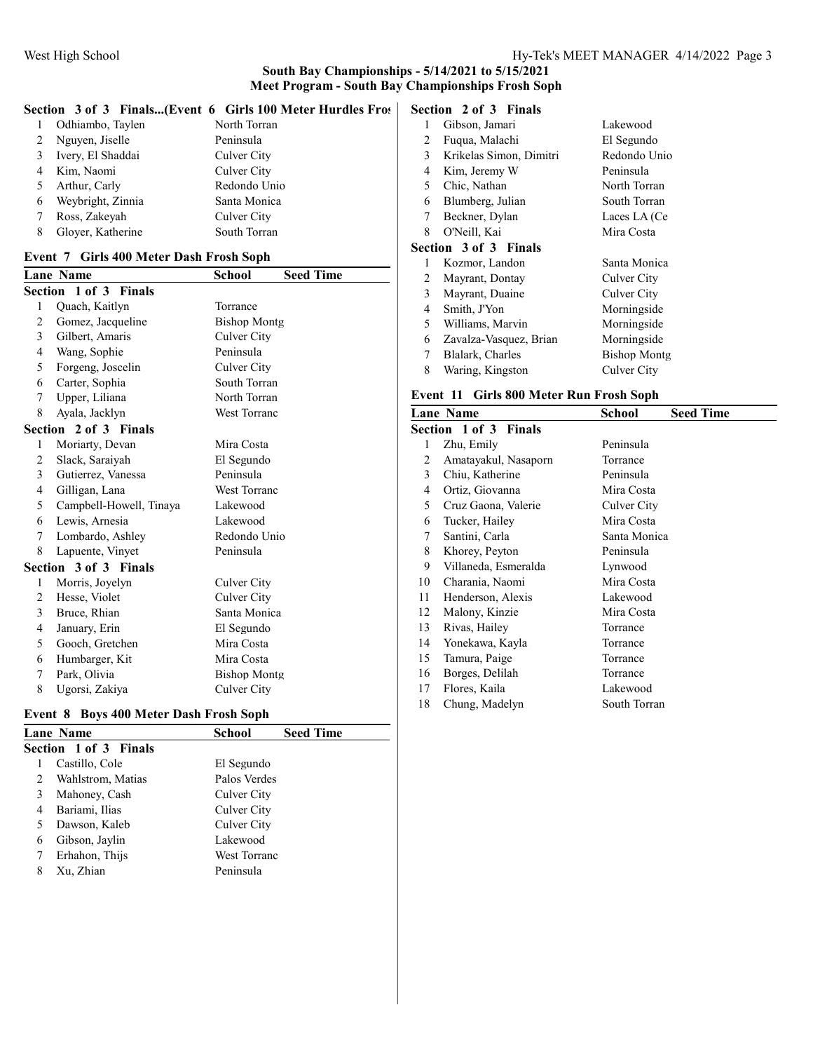# Section 3 of 3 Finals...(Event 6 Girls 100 Meter Hurdles Fros

|   | Odhiambo, Taylen  | North Torran |
|---|-------------------|--------------|
|   | Nguyen, Jiselle   | Peninsula    |
| 3 | Ivery, El Shaddai | Culver City  |
|   | Kim, Naomi        | Culver City  |
| 5 | Arthur, Carly     | Redondo Unio |
| 6 | Weybright, Zinnia | Santa Monica |
|   | Ross, Zakeyah     | Culver City  |
|   | Gloyer, Katherine | South Torran |

## Event 7 Girls 400 Meter Dash Frosh Soph

|                | <b>Lane Name</b>        | <b>School</b>       | <b>Seed Time</b> |
|----------------|-------------------------|---------------------|------------------|
|                | Section 1 of 3 Finals   |                     |                  |
| 1              | Quach, Kaitlyn          | Torrance            |                  |
| $\overline{2}$ | Gomez, Jacqueline       | <b>Bishop Montg</b> |                  |
| 3              | Gilbert, Amaris         | Culver City         |                  |
| 4              | Wang, Sophie            | Peninsula           |                  |
| 5              | Forgeng, Joscelin       | Culver City         |                  |
| 6              | Carter, Sophia          | South Torran        |                  |
| 7              | Upper, Liliana          | North Torran        |                  |
| 8              | Ayala, Jacklyn          | West Torranc        |                  |
|                | Section 2 of 3 Finals   |                     |                  |
| 1              | Moriarty, Devan         | Mira Costa          |                  |
| 2              | Slack, Saraiyah         | El Segundo          |                  |
| 3              | Gutierrez, Vanessa      | Peninsula           |                  |
| 4              | Gilligan, Lana          | West Torranc        |                  |
| 5              | Campbell-Howell, Tinaya | Lakewood            |                  |
| 6              | Lewis, Arnesia          | Lakewood            |                  |
| 7              | Lombardo, Ashley        | Redondo Unio        |                  |
| 8              | Lapuente, Vinyet        | Peninsula           |                  |
|                | Section 3 of 3 Finals   |                     |                  |
| 1              | Morris, Joyelyn         | Culver City         |                  |
| $\overline{2}$ | Hesse, Violet           | Culver City         |                  |
| 3              | Bruce, Rhian            | Santa Monica        |                  |
| $\overline{4}$ | January, Erin           | El Segundo          |                  |
| 5              | Gooch, Gretchen         | Mira Costa          |                  |
| 6              | Humbarger, Kit          | Mira Costa          |                  |
| 7              | Park, Olivia            | <b>Bishop Montg</b> |                  |
| 8              | Ugorsi, Zakiya          | Culver City         |                  |

#### Event 8 Boys 400 Meter Dash Frosh Soph

| <b>Lane Name</b>             | School       | <b>Seed Time</b> |  |  |
|------------------------------|--------------|------------------|--|--|
| <b>Section 1 of 3 Finals</b> |              |                  |  |  |
| Castillo, Cole               | El Segundo   |                  |  |  |
| Wahlstrom, Matias            | Palos Verdes |                  |  |  |
| Mahoney, Cash                | Culver City  |                  |  |  |
| Bariami, Ilias               | Culver City  |                  |  |  |
| Dawson, Kaleb                | Culver City  |                  |  |  |
| Gibson, Jaylin               | Lakewood     |                  |  |  |
| Erhahon, Thijs               | West Torranc |                  |  |  |
| Xu, Zhian                    | Peninsula    |                  |  |  |
|                              |              |                  |  |  |

## Section 2 of 3 Finals

| 1 | Gibson, Jamari               | Lakewood            |
|---|------------------------------|---------------------|
| 2 | Fuqua, Malachi               | El Segundo          |
| 3 | Krikelas Simon, Dimitri      | Redondo Unio        |
| 4 | Kim, Jeremy W                | Peninsula           |
| 5 | Chic, Nathan                 | North Torran        |
| 6 | Blumberg, Julian             | South Torran        |
| 7 | Beckner, Dylan               | Laces LA (Ce        |
| 8 | O'Neill, Kai                 | Mira Costa          |
|   | <b>Section 3 of 3 Finals</b> |                     |
| 1 | Kozmor, Landon               | Santa Monica        |
| 2 | Mayrant, Dontay              | Culver City         |
| 3 | Mayrant, Duaine              | Culver City         |
| 4 | Smith, J'Yon                 | Morningside         |
| 5 | Williams, Marvin             | Morningside         |
| 6 | Zavalza-Vasquez, Brian       | Morningside         |
| 7 | Blalark, Charles             | <b>Bishop Montg</b> |
| 8 | Waring, Kingston             | Culver City         |

## Event 11 Girls 800 Meter Run Frosh Soph

|    | <b>Lane Name</b>             | School       | <b>Seed Time</b> |
|----|------------------------------|--------------|------------------|
|    | <b>Section 1 of 3 Finals</b> |              |                  |
| 1  | Zhu, Emily                   | Peninsula    |                  |
| 2  | Amatayakul, Nasaporn         | Torrance     |                  |
| 3  | Chiu, Katherine              | Peninsula    |                  |
| 4  | Ortiz, Giovanna              | Mira Costa   |                  |
| 5  | Cruz Gaona, Valerie          | Culver City  |                  |
| 6  | Tucker, Hailey               | Mira Costa   |                  |
| 7  | Santini, Carla               | Santa Monica |                  |
| 8  | Khorey, Peyton               | Peninsula    |                  |
| 9  | Villaneda, Esmeralda         | Lynwood      |                  |
| 10 | Charania, Naomi              | Mira Costa   |                  |
| 11 | Henderson, Alexis            | Lakewood     |                  |
| 12 | Malony, Kinzie               | Mira Costa   |                  |
| 13 | Rivas, Hailey                | Torrance     |                  |
| 14 | Yonekawa, Kayla              | Torrance     |                  |
| 15 | Tamura, Paige                | Torrance     |                  |
| 16 | Borges, Delilah              | Torrance     |                  |
| 17 | Flores, Kaila                | Lakewood     |                  |
| 18 | Chung, Madelyn               | South Torran |                  |
|    |                              |              |                  |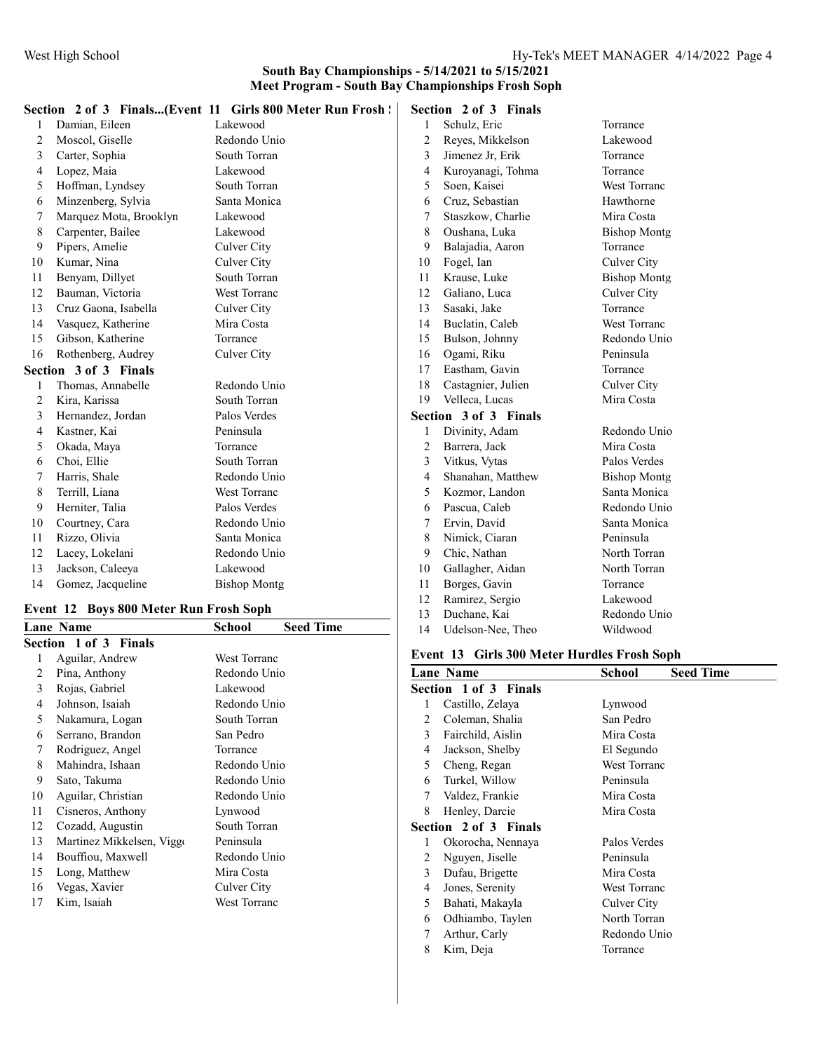|                |                        | Section 2 of 3 Finals(Event 11 Girls 800 Meter Run Frosh! |                | Section 2 of 3 Finals |                     |
|----------------|------------------------|-----------------------------------------------------------|----------------|-----------------------|---------------------|
|                | Damian, Eileen         | Lakewood                                                  |                | Schulz, Eric          | Torrance            |
| $\overline{2}$ | Moscol, Giselle        | Redondo Unio                                              | 2              | Reyes, Mikkelson      | Lakewood            |
| 3              | Carter, Sophia         | South Torran                                              | 3              | Jimenez Jr, Erik      | Torrance            |
| 4              | Lopez, Maia            | Lakewood                                                  | $\overline{4}$ | Kuroyanagi, Tohma     | Torrance            |
| 5              | Hoffman, Lyndsey       | South Torran                                              | 5              | Soen, Kaisei          | West Torranc        |
| 6              | Minzenberg, Sylvia     | Santa Monica                                              | 6              | Cruz, Sebastian       | Hawthorne           |
| 7              | Marquez Mota, Brooklyn | Lakewood                                                  | 7              | Staszkow, Charlie     | Mira Costa          |
| 8              | Carpenter, Bailee      | Lakewood                                                  | 8              | Oushana, Luka         | <b>Bishop Montg</b> |
| 9              | Pipers, Amelie         | Culver City                                               | 9              | Balajadia, Aaron      | Torrance            |
| 10             | Kumar, Nina            | Culver City                                               | 10             | Fogel, Ian            | Culver City         |
| 11             | Benyam, Dillyet        | South Torran                                              | 11             | Krause, Luke          | <b>Bishop Montg</b> |
| 12             | Bauman, Victoria       | <b>West Torranc</b>                                       | 12             | Galiano, Luca         | Culver City         |
| 13             | Cruz Gaona, Isabella   | Culver City                                               | 13             | Sasaki, Jake          | Torrance            |
| 14             | Vasquez, Katherine     | Mira Costa                                                | 14             | Buclatin, Caleb       | <b>West Torranc</b> |
| 15             | Gibson, Katherine      | Torrance                                                  | 15             | Bulson, Johnny        | Redondo Unio        |
| 16             | Rothenberg, Audrey     | Culver City                                               | 16             | Ogami, Riku           | Peninsula           |
|                | Section 3 of 3 Finals  |                                                           | 17             | Eastham, Gavin        | Torrance            |
|                | Thomas, Annabelle      | Redondo Unio                                              | 18             | Castagnier, Julien    | Culver City         |
| $\overline{2}$ | Kira, Karissa          | South Torran                                              | 19             | Velleca, Lucas        | Mira Costa          |
| 3              | Hernandez, Jordan      | Palos Verdes                                              |                | Section 3 of 3 Finals |                     |
| 4              | Kastner, Kai           | Peninsula                                                 |                | Divinity, Adam        | Redondo Unio        |
| 5              | Okada, Maya            | Torrance                                                  | $\overline{2}$ | Barrera, Jack         | Mira Costa          |
| 6              | Choi, Ellie            | South Torran                                              | 3              | Vitkus, Vytas         | Palos Verdes        |
| 7              | Harris, Shale          | Redondo Unio                                              | $\overline{4}$ | Shanahan, Matthew     | <b>Bishop Montg</b> |
| 8              | Terrill, Liana         | West Torranc                                              | 5              | Kozmor, Landon        | Santa Monica        |
| 9              | Herniter, Talia        | Palos Verdes                                              | 6              | Pascua, Caleb         | Redondo Unio        |
| 10             | Courtney, Cara         | Redondo Unio                                              | 7              | Ervin, David          | Santa Monica        |
| 11             | Rizzo, Olivia          | Santa Monica                                              | 8              | Nimick, Ciaran        | Peninsula           |
| 12             | Lacey, Lokelani        | Redondo Unio                                              | 9              | Chic, Nathan          | North Torran        |
| 13             | Jackson, Caleeya       | Lakewood                                                  | 10             | Gallagher, Aidan      | North Torran        |
| 14             | Gomez, Jacqueline      | <b>Bishop Montg</b>                                       | 11             | Borges, Gavin         | Torrance            |
|                |                        | $\sim$ $\sim$                                             | 12             | Ramirez, Sergio       | Lakewood            |

## Event 12 Boys 800 Meter Run Frosh Soph

|    | Lane Name                 | <b>Seed Time</b><br>School |
|----|---------------------------|----------------------------|
|    | Section 1 of 3 Finals     |                            |
| 1  | Aguilar, Andrew           | West Torranc               |
| 2  | Pina, Anthony             | Redondo Unio               |
| 3  | Rojas, Gabriel            | Lakewood                   |
| 4  | Johnson, Isaiah           | Redondo Unio               |
| 5  | Nakamura, Logan           | South Torran               |
| 6  | Serrano, Brandon          | San Pedro                  |
| 7  | Rodriguez, Angel          | Torrance                   |
| 8  | Mahindra, Ishaan          | Redondo Unio               |
| 9  | Sato, Takuma              | Redondo Unio               |
| 10 | Aguilar, Christian        | Redondo Unio               |
| 11 | Cisneros, Anthony         | Lynwood                    |
| 12 | Cozadd, Augustin          | South Torran               |
| 13 | Martinez Mikkelsen, Viggo | Peninsula                  |
| 14 | Bouffiou, Maxwell         | Redondo Unio               |
| 15 | Long, Matthew             | Mira Costa                 |
| 16 | Vegas, Xavier             | Culver City                |
| 17 | Kim, Isaiah               | <b>West Torranc</b>        |

## Event 13 Girls 300 Meter Hurdles Frosh Soph

13 Duchane, Kai Redondo Unio Udelson-Nee, Theo Wildwood

|   | <b>Lane Name</b>      | School              | <b>Seed Time</b> |
|---|-----------------------|---------------------|------------------|
|   | Section 1 of 3 Finals |                     |                  |
| 1 | Castillo, Zelaya      | Lynwood             |                  |
| 2 | Coleman, Shalia       | San Pedro           |                  |
| 3 | Fairchild, Aislin     | Mira Costa          |                  |
| 4 | Jackson, Shelby       | El Segundo          |                  |
| 5 | Cheng, Regan          | <b>West Torranc</b> |                  |
| 6 | Turkel, Willow        | Peninsula           |                  |
| 7 | Valdez, Frankie       | Mira Costa          |                  |
| 8 | Henley, Darcie        | Mira Costa          |                  |
|   | Section 2 of 3 Finals |                     |                  |
| 1 | Okorocha, Nennaya     | Palos Verdes        |                  |
| 2 | Nguyen, Jiselle       | Peninsula           |                  |
| 3 | Dufau, Brigette       | Mira Costa          |                  |
| 4 | Jones, Serenity       | <b>West Torranc</b> |                  |
| 5 | Bahati, Makayla       | Culver City         |                  |
| 6 | Odhiambo, Taylen      | North Torran        |                  |
| 7 | Arthur, Carly         | Redondo Unio        |                  |
| 8 | Kim, Deja             | Torrance            |                  |
|   |                       |                     |                  |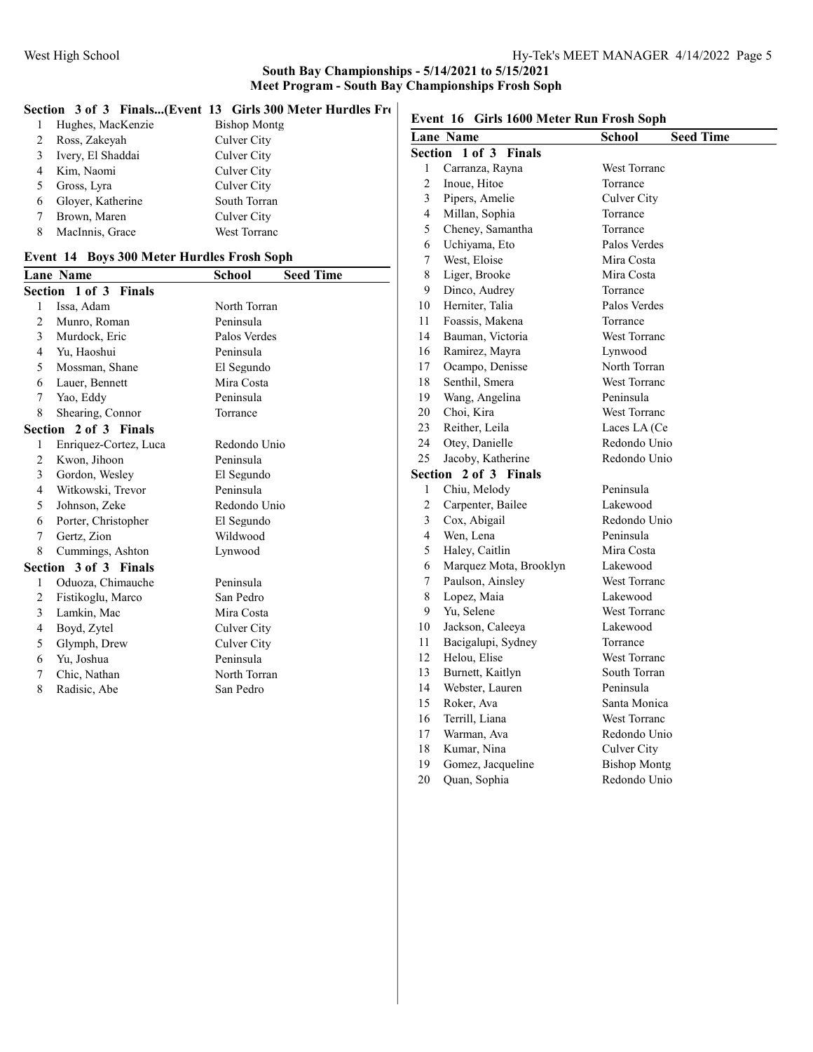|  |  |  |  | Section 3 of 3 Finals(Event 13 Girls 300 Meter Hurdles Fre | $E$ yont |
|--|--|--|--|------------------------------------------------------------|----------|
|--|--|--|--|------------------------------------------------------------|----------|

|   | Hughes, MacKenzie | <b>Bishop Montg</b> |
|---|-------------------|---------------------|
|   | Ross, Zakeyah     | Culver City         |
|   | Ivery, El Shaddai | Culver City         |
|   | Kim, Naomi        | Culver City         |
|   | Gross, Lyra       | Culver City         |
|   | Gloyer, Katherine | South Torran        |
|   | Brown, Maren      | Culver City         |
| 8 | MacInnis, Grace   | West Torranc        |

## Event 14 Boys 300 Meter Hurdles Frosh Soph

|        | <b>Lane Name</b>      | School       | <b>Seed Time</b> |
|--------|-----------------------|--------------|------------------|
|        | Section 1 of 3 Finals |              |                  |
| 1      | Issa, Adam            | North Torran |                  |
| 2      | Munro, Roman          | Peninsula    |                  |
| 3      | Murdock, Eric         | Palos Verdes |                  |
| 4      | Yu, Haoshui           | Peninsula    |                  |
| 5      | Mossman, Shane        | El Segundo   |                  |
| 6      | Lauer, Bennett        | Mira Costa   |                  |
| $\tau$ | Yao, Eddy             | Peninsula    |                  |
| 8      | Shearing, Connor      | Torrance     |                  |
|        | Section 2 of 3 Finals |              |                  |
| 1      | Enriquez-Cortez, Luca | Redondo Unio |                  |
| 2      | Kwon, Jihoon          | Peninsula    |                  |
| 3      | Gordon, Wesley        | El Segundo   |                  |
| 4      | Witkowski, Trevor     | Peninsula    |                  |
| 5      | Johnson, Zeke         | Redondo Unio |                  |
| 6      | Porter, Christopher   | El Segundo   |                  |
| 7      | Gertz, Zion           | Wildwood     |                  |
| 8      | Cummings, Ashton      | Lynwood      |                  |
|        | Section 3 of 3 Finals |              |                  |
| 1      | Oduoza, Chimauche     | Peninsula    |                  |
| 2      | Fistikoglu, Marco     | San Pedro    |                  |
| 3      | Lamkin, Mac           | Mira Costa   |                  |
| 4      | Boyd, Zytel           | Culver City  |                  |
| 5      | Glymph, Drew          | Culver City  |                  |
| 6      | Yu, Joshua            | Peninsula    |                  |
| 7      | Chic, Nathan          | North Torran |                  |
| 8      | Radisic, Abe          | San Pedro    |                  |
|        |                       |              |                  |

# Event 16 Girls 1600 Meter Run Frosh Soph

|                | <b>Lane Name</b>                | <b>Seed Time</b><br><b>School</b> |
|----------------|---------------------------------|-----------------------------------|
|                | Section 1 of 3<br><b>Finals</b> |                                   |
| 1              | Carranza, Rayna                 | <b>West Torranc</b>               |
| $\overline{c}$ | Inoue, Hitoe                    | Torrance                          |
| 3              | Pipers, Amelie                  | Culver City                       |
| 4              | Millan, Sophia                  | Torrance                          |
| 5              | Cheney, Samantha                | Torrance                          |
| 6              | Uchiyama, Eto                   | Palos Verdes                      |
| 7              | West, Eloise                    | Mira Costa                        |
| 8              | Liger, Brooke                   | Mira Costa                        |
| 9              | Dinco, Audrey                   | Torrance                          |
| 10             | Herniter, Talia                 | Palos Verdes                      |
| 11             | Foassis, Makena                 | Torrance                          |
| 14             | Bauman, Victoria                | West Torranc                      |
| 16             | Ramirez, Mayra                  | Lynwood                           |
| 17             | Ocampo, Denisse                 | North Torran                      |
| 18             | Senthil, Smera                  | <b>West Torranc</b>               |
| 19             | Wang, Angelina                  | Peninsula                         |
| 20             | Choi, Kira                      | West Torranc                      |
| 23             | Reither, Leila                  | Laces LA (Ce                      |
| 24             | Otey, Danielle                  | Redondo Unio                      |
| 25             | Jacoby, Katherine               | Redondo Unio                      |
| Section        | 2 of 3 Finals                   |                                   |
| 1              | Chiu, Melody                    | Peninsula                         |
| $\overline{c}$ | Carpenter, Bailee               | Lakewood                          |
| 3              | Cox, Abigail                    | Redondo Unio                      |
| 4              | Wen, Lena                       | Peninsula                         |
| 5              | Haley, Caitlin                  | Mira Costa                        |
| 6              | Marquez Mota, Brooklyn          | Lakewood                          |
| 7              | Paulson, Ainsley                | <b>West Torranc</b>               |
| 8              | Lopez, Maia                     | Lakewood                          |
| 9              | Yu, Selene                      | West Torranc                      |
| 10             | Jackson, Caleeya                | Lakewood                          |
| 11             | Bacigalupi, Sydney              | Torrance                          |
| 12             | Helou, Elise                    | West Torranc                      |
| 13             | Burnett, Kaitlyn                | South Torran                      |
| 14             | Webster, Lauren                 | Peninsula                         |
| 15             | Roker, Ava                      | Santa Monica                      |
| 16             | Terrill, Liana                  | West Torranc                      |
| 17             | Warman, Ava                     | Redondo Unio                      |
| 18             | Kumar, Nina                     | Culver City                       |
| 19             | Gomez, Jacqueline               | <b>Bishop Montg</b>               |
| 20             | Quan, Sophia                    | Redondo Unio                      |
|                |                                 |                                   |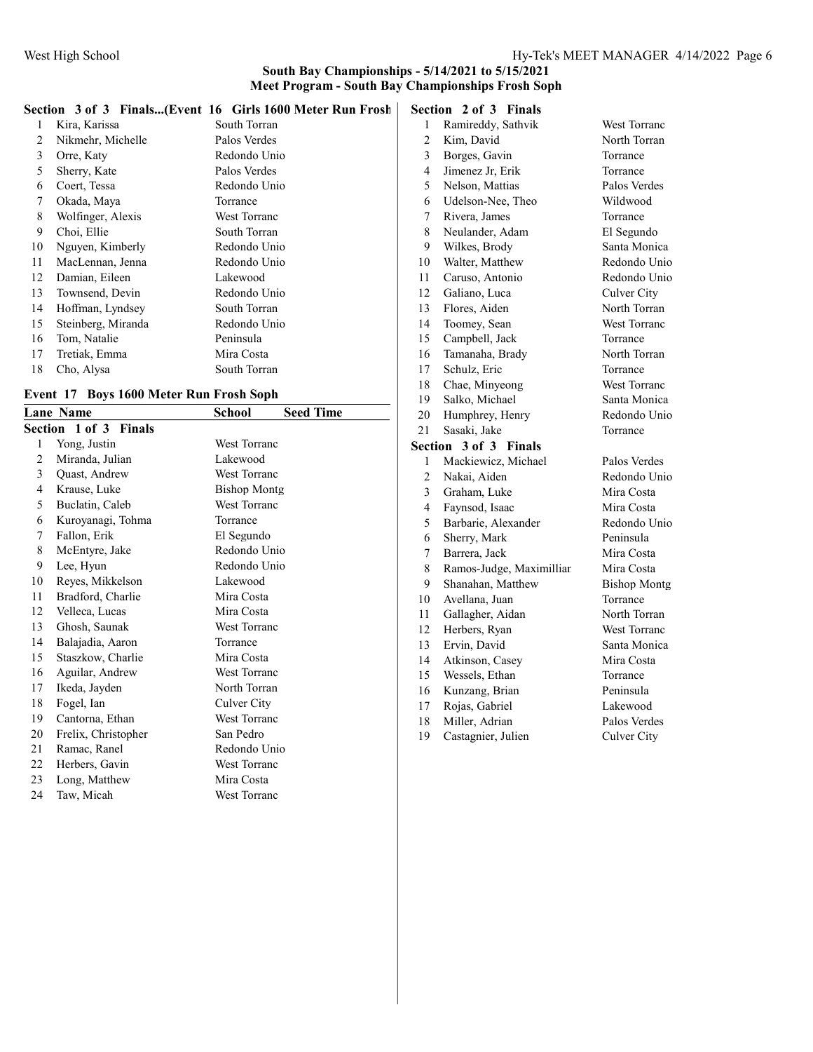|  |  |  |  |  | Section 3 of 3 Finals(Event 16 Girls 1600 Meter Run Frosh   Sec |  |
|--|--|--|--|--|-----------------------------------------------------------------|--|
|--|--|--|--|--|-----------------------------------------------------------------|--|

| 1  | Kira, Karissa      | South Torran |
|----|--------------------|--------------|
| 2  | Nikmehr, Michelle  | Palos Verdes |
| 3  | Orre, Katy         | Redondo Unio |
| 5  | Sherry, Kate       | Palos Verdes |
| 6  | Coert, Tessa       | Redondo Unio |
| 7  | Okada, Maya        | Torrance     |
| 8  | Wolfinger, Alexis  | West Torranc |
| 9  | Choi, Ellie        | South Torran |
| 10 | Nguyen, Kimberly   | Redondo Unio |
| 11 | MacLennan, Jenna   | Redondo Unio |
| 12 | Damian, Eileen     | Lakewood     |
| 13 | Townsend, Devin    | Redondo Unio |
| 14 | Hoffman, Lyndsey   | South Torran |
| 15 | Steinberg, Miranda | Redondo Unio |
| 16 | Tom, Natalie       | Peninsula    |
| 17 | Tretiak, Emma      | Mira Costa   |
| 18 | Cho, Alysa         | South Torran |
|    |                    |              |

#### Event 17 Boys 1600 Meter Run Frosh Soph

|    | <b>Lane Name</b>             | <b>Seed Time</b><br>School |
|----|------------------------------|----------------------------|
|    | <b>Section 1 of 3 Finals</b> |                            |
| 1  | Yong, Justin                 | West Torranc               |
| 2  | Miranda, Julian              | Lakewood                   |
| 3  | Quast, Andrew                | <b>West Torranc</b>        |
| 4  | Krause, Luke                 | <b>Bishop Montg</b>        |
| 5  | Buclatin, Caleb              | <b>West Torranc</b>        |
| 6  | Kuroyanagi, Tohma            | Torrance                   |
| 7  | Fallon, Erik                 | El Segundo                 |
| 8  | McEntyre, Jake               | Redondo Unio               |
| 9  | Lee, Hyun                    | Redondo Unio               |
| 10 | Reyes, Mikkelson             | Lakewood                   |
| 11 | Bradford, Charlie            | Mira Costa                 |
| 12 | Velleca, Lucas               | Mira Costa                 |
| 13 | Ghosh, Saunak                | <b>West Torranc</b>        |
| 14 | Balajadia, Aaron             | Torrance                   |
| 15 | Staszkow, Charlie            | Mira Costa                 |
| 16 | Aguilar, Andrew              | West Torranc               |
| 17 | Ikeda, Jayden                | North Torran               |
| 18 | Fogel, Ian                   | Culver City                |
| 19 | Cantorna, Ethan              | <b>West Torranc</b>        |
| 20 | Frelix, Christopher          | San Pedro                  |
| 21 | Ramac, Ranel                 | Redondo Unio               |
| 22 | Herbers, Gavin               | West Torranc               |
| 23 | Long, Matthew                | Mira Costa                 |
| 24 | Taw, Micah                   | <b>West Torranc</b>        |

## Section 2 of 3 Finals

| 1              | Ramireddy, Sathvik       | West Torranc        |
|----------------|--------------------------|---------------------|
| $\overline{c}$ | Kim, David               | North Torran        |
| 3              | Borges, Gavin            | Torrance            |
| $\overline{4}$ | Jimenez Jr, Erik         | Torrance            |
| 5              | Nelson, Mattias          | Palos Verdes        |
| 6              | Udelson-Nee, Theo        | Wildwood            |
| 7              | Rivera, James            | Torrance            |
| 8              | Neulander, Adam          | El Segundo          |
| 9              | Wilkes, Brody            | Santa Monica        |
| 10             | Walter, Matthew          | Redondo Unio        |
| 11             | Caruso, Antonio          | Redondo Unio        |
| 12             | Galiano, Luca            | Culver City         |
| 13             | Flores, Aiden            | North Torran        |
| 14             | Toomey, Sean             | <b>West Torranc</b> |
| 15             | Campbell, Jack           | Torrance            |
| 16             | Tamanaha, Brady          | North Torran        |
| 17             | Schulz, Eric             | Torrance            |
| 18             | Chae, Minyeong           | West Torranc        |
| 19             | Salko, Michael           | Santa Monica        |
| 20             | Humphrey, Henry          | Redondo Unio        |
| 21             | Sasaki, Jake             | Torrance            |
| Section        | 3 of 3 Finals            |                     |
| 1              | Mackiewicz, Michael      | Palos Verdes        |
| $\overline{2}$ | Nakai, Aiden             | Redondo Unio        |
| 3              | Graham, Luke             | Mira Costa          |
| 4              | Faynsod, Isaac           | Mira Costa          |
| 5              | Barbarie, Alexander      | Redondo Unio        |
| 6              | Sherry, Mark             | Peninsula           |
| 7              | Barrera, Jack            | Mira Costa          |
| 8              | Ramos-Judge, Maximillian | Mira Costa          |
| 9              | Shanahan, Matthew        | <b>Bishop Montg</b> |
| 10             | Avellana, Juan           | Torrance            |
| 11             | Gallagher, Aidan         | North Torran        |
| 12             | Herbers, Ryan            | West Torranc        |
| 13             | Ervin, David             | Santa Monica        |
| 14             | Atkinson, Casey          | Mira Costa          |
| 15             | Wessels, Ethan           | Torrance            |
| 16             |                          |                     |
|                | Kunzang, Brian           | Peninsula           |

- Miller, Adrian Palos Verdes
- 19 Castagnier, Julien Culver City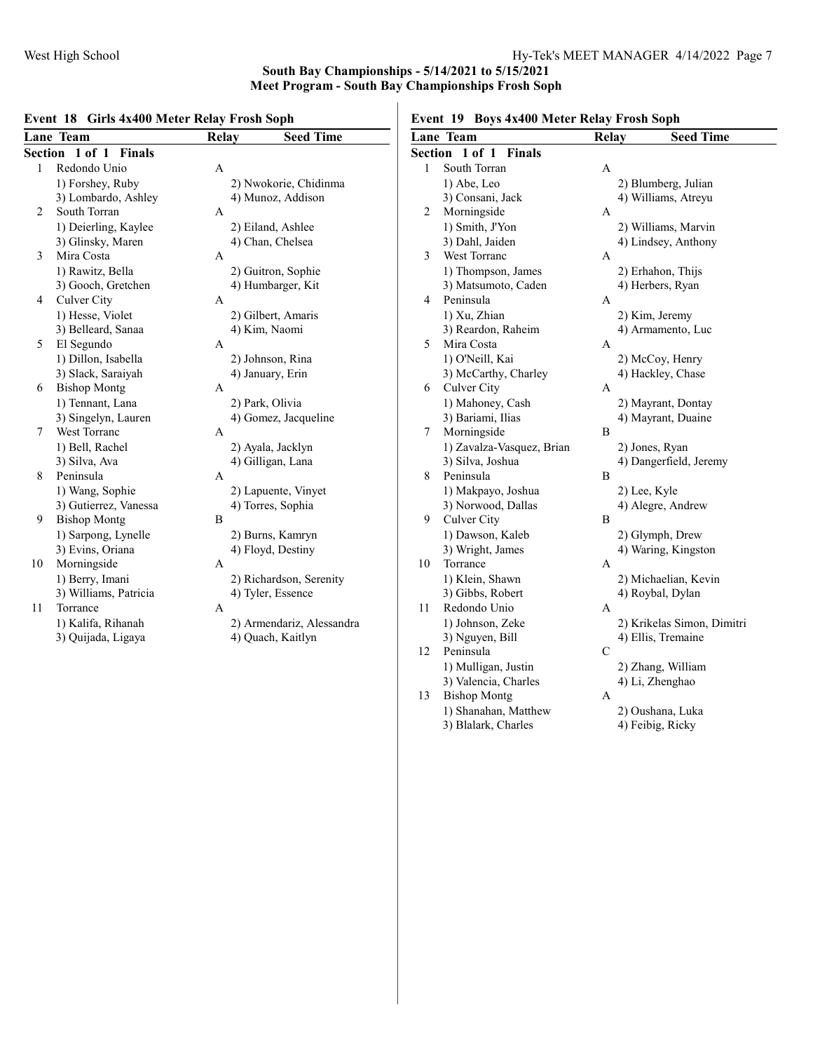## Event 18 Girls 4x400 Meter Relay Frosh Soph

|                          | Lane Team             | <b>Relay</b> | <b>Seed Time</b>          |  |
|--------------------------|-----------------------|--------------|---------------------------|--|
| Section<br>1 of 1 Finals |                       |              |                           |  |
| $\mathbf{1}$             | Redondo Unio          | A            |                           |  |
|                          | 1) Forshey, Ruby      |              | 2) Nwokorie, Chidinma     |  |
|                          | 3) Lombardo, Ashley   |              | 4) Munoz, Addison         |  |
| 2                        | South Torran          | A            |                           |  |
|                          | 1) Deierling, Kaylee  |              | 2) Eiland, Ashlee         |  |
|                          | 3) Glinsky, Maren     |              | 4) Chan, Chelsea          |  |
| 3                        | Mira Costa            | A            |                           |  |
|                          | 1) Rawitz, Bella      |              | 2) Guitron, Sophie        |  |
|                          | 3) Gooch, Gretchen    |              | 4) Humbarger, Kit         |  |
| 4                        | Culver City           | A            |                           |  |
|                          | 1) Hesse, Violet      |              | 2) Gilbert, Amaris        |  |
|                          | 3) Belleard, Sanaa    |              | 4) Kim, Naomi             |  |
| 5                        | El Segundo            | А            |                           |  |
|                          | 1) Dillon, Isabella   |              | 2) Johnson, Rina          |  |
|                          | 3) Slack, Saraiyah    |              | 4) January, Erin          |  |
| 6                        | <b>Bishop Montg</b>   | A            |                           |  |
|                          | 1) Tennant, Lana      |              | 2) Park, Olivia           |  |
|                          | 3) Singelyn, Lauren   |              | 4) Gomez, Jacqueline      |  |
| 7                        | West Torranc          | А            |                           |  |
|                          | 1) Bell, Rachel       |              | 2) Ayala, Jacklyn         |  |
|                          | 3) Silva, Ava         |              | 4) Gilligan, Lana         |  |
| 8                        | Peninsula             | А            |                           |  |
|                          | 1) Wang, Sophie       |              | 2) Lapuente, Vinyet       |  |
|                          | 3) Gutierrez, Vanessa |              | 4) Torres, Sophia         |  |
| 9                        | <b>Bishop Montg</b>   | B            |                           |  |
|                          | 1) Sarpong, Lynelle   |              | 2) Burns, Kamryn          |  |
|                          | 3) Evins, Oriana      |              | 4) Floyd, Destiny         |  |
| 10                       | Morningside           | A            |                           |  |
|                          | 1) Berry, Imani       |              | 2) Richardson, Serenity   |  |
|                          | 3) Williams, Patricia |              | 4) Tyler, Essence         |  |
| 11                       | Torrance              | A            |                           |  |
|                          | 1) Kalifa, Rihanah    |              | 2) Armendariz, Alessandra |  |
|                          | 3) Quijada, Ligaya    |              | 4) Quach, Kaitlyn         |  |
|                          |                       |              |                           |  |

# Event 19 Boys 4x400 Meter Relay Frosh Soph

|         | <b>Lane Team</b>                            | <b>Relay</b> | <b>Seed Time</b>                     |
|---------|---------------------------------------------|--------------|--------------------------------------|
| Section | $1$ of $1$<br><b>Finals</b>                 |              |                                      |
| 1       | South Torran                                | А            |                                      |
|         | 1) Abe, Leo                                 |              | 2) Blumberg, Julian                  |
|         | 3) Consani, Jack                            |              | 4) Williams, Atreyu                  |
| 2       | Morningside                                 | A            |                                      |
|         | 1) Smith, J'Yon                             |              | 2) Williams, Marvin                  |
|         | 3) Dahl, Jaiden                             |              | 4) Lindsey, Anthony                  |
| 3       | West Torranc                                | A            |                                      |
|         | 1) Thompson, James                          |              | 2) Erhahon, Thijs                    |
|         | 3) Matsumoto, Caden                         |              | 4) Herbers, Ryan                     |
| 4       | Peninsula                                   | A            |                                      |
|         | 1) Xu, Zhian                                |              | 2) Kim, Jeremy                       |
|         | 3) Reardon, Raheim                          |              | 4) Armamento, Luc                    |
| 5       | Mira Costa                                  | A            |                                      |
|         | 1) O'Neill, Kai                             |              | 2) McCoy, Henry                      |
|         | 3) McCarthy, Charley                        |              | 4) Hackley, Chase                    |
| 6       | Culver City                                 | A            |                                      |
|         | 1) Mahoney, Cash                            |              | 2) Mayrant, Dontay                   |
|         | 3) Bariami, Ilias                           |              | 4) Mayrant, Duaine                   |
| 7       | Morningside                                 | В            |                                      |
|         | 1) Zavalza-Vasquez, Brian                   |              | 2) Jones, Ryan                       |
|         | 3) Silva, Joshua                            |              | 4) Dangerfield, Jeremy               |
| 8       | Peninsula                                   | B            |                                      |
|         | 1) Makpayo, Joshua                          |              | 2) Lee, Kyle                         |
|         | 3) Norwood, Dallas                          |              | 4) Alegre, Andrew                    |
| 9       | Culver City                                 | В            |                                      |
|         | 1) Dawson, Kaleb                            |              | 2) Glymph, Drew                      |
|         | 3) Wright, James                            |              | 4) Waring, Kingston                  |
| 10      | Torrance                                    | A            |                                      |
|         | 1) Klein, Shawn                             |              | 2) Michaelian, Kevin                 |
|         | 3) Gibbs, Robert                            |              | 4) Roybal, Dylan                     |
| 11      | Redondo Unio                                | А            |                                      |
|         | 1) Johnson, Zeke                            |              | 2) Krikelas Simon, Dimitri           |
|         | 3) Nguyen, Bill                             |              | 4) Ellis, Tremaine                   |
| 12      | Peninsula                                   | C            |                                      |
|         | 1) Mulligan, Justin                         |              | 2) Zhang, William                    |
| 13      | 3) Valencia, Charles                        |              | 4) Li, Zhenghao                      |
|         | <b>Bishop Montg</b>                         | А            |                                      |
|         | 1) Shanahan, Matthew<br>3) Blalark, Charles |              | 2) Oushana, Luka<br>4) Feibig, Ricky |
|         |                                             |              |                                      |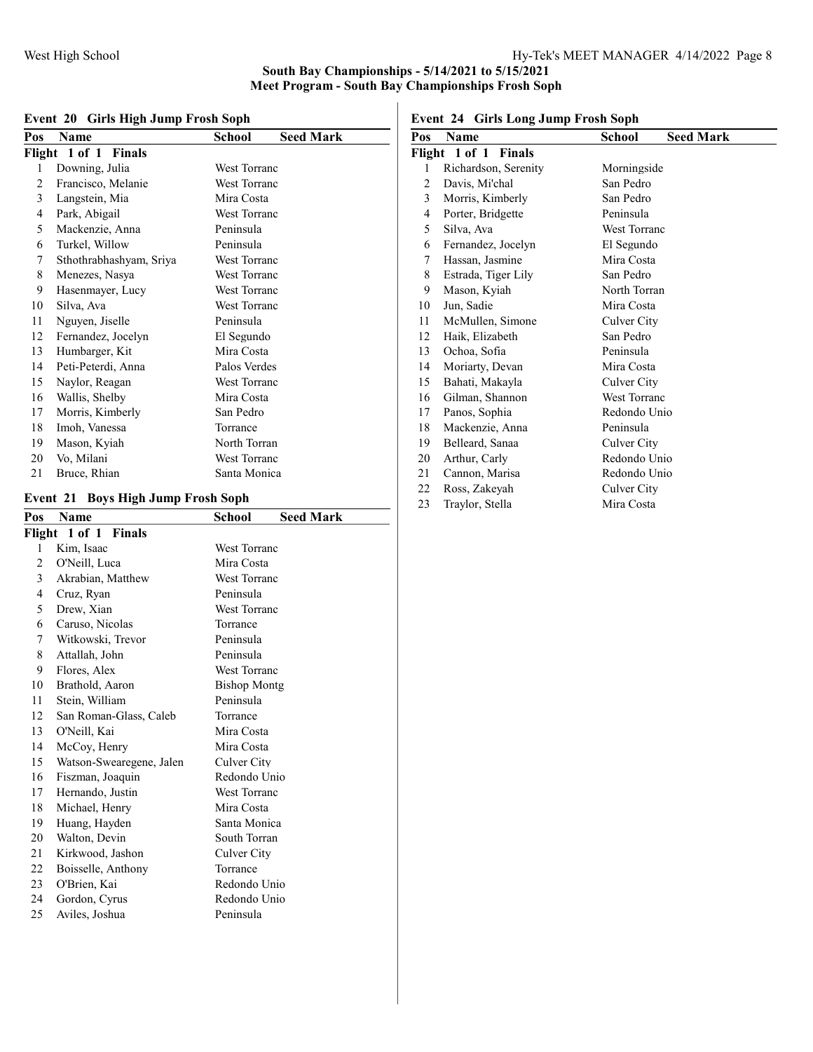| Pos | $\frac{1}{20}$ . On is $\frac{1}{2}$ if $\frac{1}{2}$ if $\frac{1}{2}$ if $\frac{1}{2}$ if $\frac{1}{2}$<br>Name | School<br><b>Seed Mark</b> |
|-----|------------------------------------------------------------------------------------------------------------------|----------------------------|
|     |                                                                                                                  |                            |
|     | Flight 1 of 1 Finals                                                                                             |                            |
| 1   | Downing, Julia                                                                                                   | <b>West Torranc</b>        |
| 2   | Francisco, Melanie                                                                                               | <b>West Torranc</b>        |
| 3   | Langstein, Mia                                                                                                   | Mira Costa                 |
| 4   | Park, Abigail                                                                                                    | <b>West Torranc</b>        |
| 5   | Mackenzie, Anna                                                                                                  | Peninsula                  |
| 6   | Turkel, Willow                                                                                                   | Peninsula                  |
| 7   | Sthothrabhashyam, Sriya                                                                                          | <b>West Torranc</b>        |
| 8   | Menezes, Nasya                                                                                                   | <b>West Torranc</b>        |
| 9   | Hasenmayer, Lucy                                                                                                 | West Torranc               |
| 10  | Silva, Ava                                                                                                       | <b>West Torranc</b>        |
| 11  | Nguyen, Jiselle                                                                                                  | Peninsula                  |
| 12  | Fernandez, Jocelyn                                                                                               | El Segundo                 |
| 13  | Humbarger, Kit                                                                                                   | Mira Costa                 |
| 14  | Peti-Peterdi, Anna                                                                                               | Palos Verdes               |
| 15  | Naylor, Reagan                                                                                                   | <b>West Torranc</b>        |
| 16  | Wallis, Shelby                                                                                                   | Mira Costa                 |
| 17  | Morris, Kimberly                                                                                                 | San Pedro                  |
| 18  | Imoh, Vanessa                                                                                                    | Torrance                   |
| 19  | Mason, Kyiah                                                                                                     | North Torran               |
| 20  | Vo, Milani                                                                                                       | <b>West Torranc</b>        |
| 21  | Bruce, Rhian                                                                                                     | Santa Monica               |

## Event 20 Girls High Jump Frosh Soph

## Event 21 Boys High Jump Frosh Soph

| Pos            | Name                     | <b>Seed Mark</b><br><b>School</b> |
|----------------|--------------------------|-----------------------------------|
| Flight         | 1 of 1 Finals            |                                   |
| 1              | Kim, Isaac               | West Torranc                      |
| $\overline{2}$ | O'Neill, Luca            | Mira Costa                        |
| 3              | Akrabian, Matthew        | <b>West Torranc</b>               |
| 4              | Cruz, Ryan               | Peninsula                         |
| 5              | Drew, Xian               | <b>West Torranc</b>               |
| 6              | Caruso, Nicolas          | Torrance                          |
| 7              | Witkowski, Trevor        | Peninsula                         |
| 8              | Attallah, John           | Peninsula                         |
| 9              | Flores, Alex             | <b>West Torranc</b>               |
| 10             | Brathold, Aaron          | <b>Bishop Montg</b>               |
| 11             | Stein, William           | Peninsula                         |
| 12             | San Roman-Glass, Caleb   | Torrance                          |
| 13             | O'Neill, Kai             | Mira Costa                        |
| 14             | McCoy, Henry             | Mira Costa                        |
| 15             | Watson-Swearegene, Jalen | Culver City                       |
| 16             | Fiszman, Joaquin         | Redondo Unio                      |
| 17             | Hernando, Justin         | <b>West Torranc</b>               |
| 18             | Michael, Henry           | Mira Costa                        |
| 19             | Huang, Hayden            | Santa Monica                      |
| 20             | Walton, Devin            | South Torran                      |
| 21             | Kirkwood, Jashon         | Culver City                       |
| 22             | Boisselle, Anthony       | Torrance                          |
| 23             | O'Brien, Kai             | Redondo Unio                      |
| 24             | Gordon, Cyrus            | Redondo Unio                      |
| 25             | Aviles, Joshua           | Peninsula                         |
|                |                          |                                   |

Event 24 Girls Long Jump Frosh Soph

| Pos | Name                           | School              | <b>Seed Mark</b> |
|-----|--------------------------------|---------------------|------------------|
|     | Flight 1 of 1<br><b>Finals</b> |                     |                  |
| 1   | Richardson, Serenity           | Morningside         |                  |
| 2   | Davis, Mi'chal                 | San Pedro           |                  |
| 3   | Morris, Kimberly               | San Pedro           |                  |
| 4   | Porter, Bridgette              | Peninsula           |                  |
| 5   | Silva, Ava                     | <b>West Torranc</b> |                  |
| 6   | Fernandez, Jocelyn             | El Segundo          |                  |
| 7   | Hassan, Jasmine                | Mira Costa          |                  |
| 8   | Estrada, Tiger Lily            | San Pedro           |                  |
| 9   | Mason, Kyiah                   | North Torran        |                  |
| 10  | Jun, Sadie                     | Mira Costa          |                  |
| 11  | McMullen, Simone               | Culver City         |                  |
| 12  | Haik, Elizabeth                | San Pedro           |                  |
| 13  | Ochoa, Sofia                   | Peninsula           |                  |
| 14  | Moriarty, Devan                | Mira Costa          |                  |
| 15  | Bahati, Makayla                | Culver City         |                  |
| 16  | Gilman, Shannon                | <b>West Torranc</b> |                  |
| 17  | Panos, Sophia                  | Redondo Unio        |                  |
| 18  | Mackenzie, Anna                | Peninsula           |                  |
| 19  | Belleard, Sanaa                | Culver City         |                  |
| 20  | Arthur, Carly                  | Redondo Unio        |                  |
| 21  | Cannon, Marisa                 | Redondo Unio        |                  |
| 22  | Ross, Zakeyah                  | Culver City         |                  |
| 23  | Traylor, Stella                | Mira Costa          |                  |
|     |                                |                     |                  |